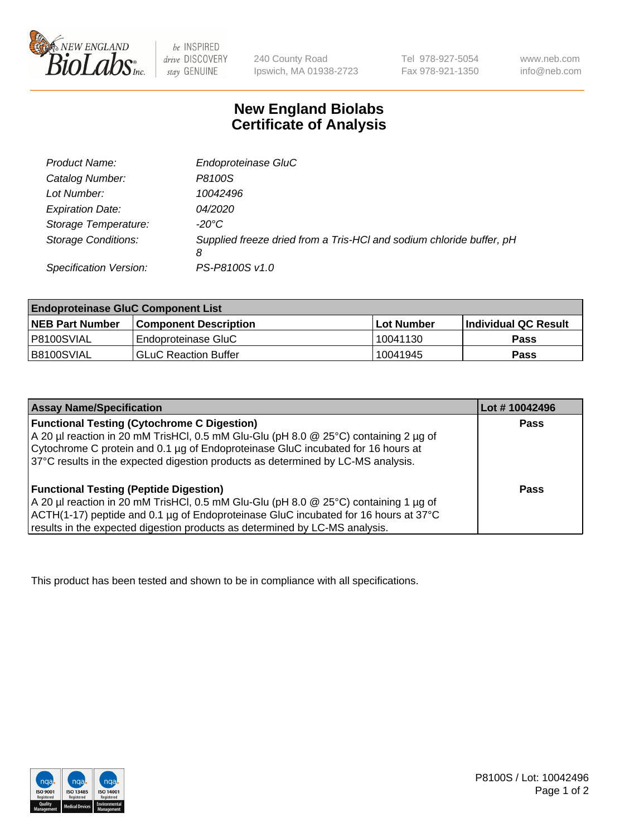

 $be$  INSPIRED drive DISCOVERY stay GENUINE

240 County Road Ipswich, MA 01938-2723 Tel 978-927-5054 Fax 978-921-1350 www.neb.com info@neb.com

## **New England Biolabs Certificate of Analysis**

| Product Name:              | Endoproteinase GluC                                                       |
|----------------------------|---------------------------------------------------------------------------|
| Catalog Number:            | P8100S                                                                    |
| Lot Number:                | 10042496                                                                  |
| <b>Expiration Date:</b>    | 04/2020                                                                   |
| Storage Temperature:       | $-20^{\circ}$ C                                                           |
| <b>Storage Conditions:</b> | Supplied freeze dried from a Tris-HCI and sodium chloride buffer, pH<br>8 |
| Specification Version:     | PS-P8100S v1.0                                                            |

| <b>Endoproteinase GluC Component List</b> |                              |             |                             |  |
|-------------------------------------------|------------------------------|-------------|-----------------------------|--|
| <b>NEB Part Number</b>                    | <b>Component Description</b> | ∣Lot Number | <b>Individual QC Result</b> |  |
| I P8100SVIAL                              | Endoproteinase GluC          | 10041130    | <b>Pass</b>                 |  |
| IB8100SVIAL                               | <b>GLuC Reaction Buffer</b>  | 10041945    | Pass                        |  |

| <b>Assay Name/Specification</b>                                                      | Lot #10042496 |
|--------------------------------------------------------------------------------------|---------------|
| <b>Functional Testing (Cytochrome C Digestion)</b>                                   | <b>Pass</b>   |
| A 20 µl reaction in 20 mM TrisHCl, 0.5 mM Glu-Glu (pH 8.0 @ 25°C) containing 2 µg of |               |
| Cytochrome C protein and 0.1 µg of Endoproteinase GluC incubated for 16 hours at     |               |
| 37°C results in the expected digestion products as determined by LC-MS analysis.     |               |
|                                                                                      |               |
| <b>Functional Testing (Peptide Digestion)</b>                                        | Pass          |
| A 20 µl reaction in 20 mM TrisHCl, 0.5 mM Glu-Glu (pH 8.0 @ 25°C) containing 1 µg of |               |
| ACTH(1-17) peptide and 0.1 µg of Endoproteinase GluC incubated for 16 hours at 37°C  |               |
| results in the expected digestion products as determined by LC-MS analysis.          |               |

This product has been tested and shown to be in compliance with all specifications.